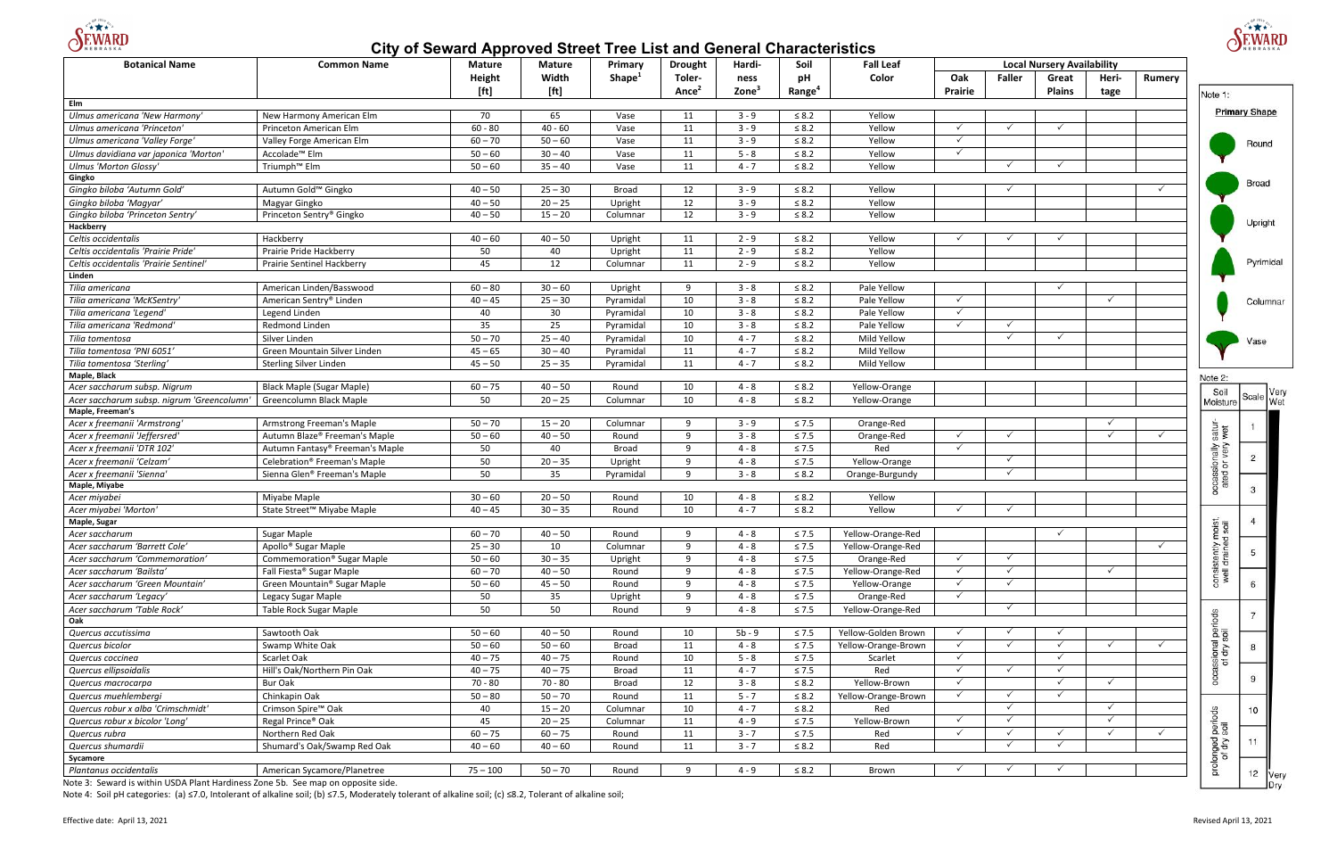

# **City of Seward Approved Street Tree List and General Characteristics**





Note 4: Soil pH categories: (a) ≤7.0, Intolerant of alkaline soil; (b) ≤7.5, Moderately tolerant of alkaline soil; (c) ≤8.2, Tolerant of alkaline soil;

| <b>Local Nursery Availability</b><br>Height<br>Width<br>Shape <sup>1</sup><br>pH<br>Toler-<br>Color<br>Oak<br><b>Faller</b><br>Heri-<br>ness<br>Great<br>Rumery<br>[ft]<br>[ft]<br>$\mathsf{Zone}^3$<br>Ance <sup>2</sup><br>Range <sup>4</sup><br><b>Plains</b><br>Prairie<br>tage<br>Note 1:<br>Elm<br><b>Primary Shape</b><br>Ulmus americana 'New Harmony'<br>70<br>65<br>New Harmony American Elm<br>11<br>$3 - 9$<br>$\leq 8.2$<br>Yellow<br>Vase<br>$60 - 80$<br>$40 - 60$<br>$3 - 9$<br>$\leq 8.2$<br>11<br>Yellow<br>$\checkmark$<br>$\checkmark$<br>$\checkmark$<br>Ulmus americana 'Princeton'<br>Princeton American Elm<br>Vase<br>$60 - 70$<br>$50 - 60$<br>11<br>$3 - 9$<br>$\leq 8.2$<br>Ulmus americana 'Valley Forge'<br>Valley Forge American Elm<br>Vase<br>Yellow<br>$\checkmark$<br>Round<br>$50 - 60$<br>$30 - 40$<br>$5 - 8$<br>11<br>$\leq 8.2$<br>$\checkmark$<br>Ulmus davidiana var japonica 'Morton'<br>Accolade <sup>™</sup> Elm<br>Vase<br>Yellow<br>Triumph <sup>™</sup> Elm<br>$50 - 60$<br>11<br>$4 - 7$<br>$\leq 8.2$<br><b>Ulmus 'Morton Glossy'</b><br>$35 - 40$<br>Vase<br>Yellow<br>$\checkmark$<br>Gingko<br>$25 - 30$<br>12<br>Gingko biloba 'Autumn Gold'<br>Autumn Gold™ Gingko<br>$40 - 50$<br>$3 - 9$<br>$\leq 8.2$<br>Yellow<br><b>Broad</b><br>$20 - 25$<br>12<br>$3 - 9$<br>$40 - 50$<br>Upright<br>$\leq 8.2$<br>Yellow<br>Gingko biloba 'Magyar'<br>Magyar Gingko<br>Princeton Sentry® Gingko<br>$40 - 50$<br>$15 - 20$<br>12<br>$3 - 9$<br>$\leq 8.2$<br>Gingko biloba 'Princeton Sentry'<br>Yellow<br>Columnar<br>Hackberry<br>Hackberry<br>$40 - 60$<br>$40 - 50$<br>$2 - 9$<br>Celtis occidentalis<br>Upright<br>11<br>$\leq 8.2$<br>Yellow<br>Celtis occidentalis 'Prairie Pride'<br>Prairie Pride Hackberry<br>50<br>40<br>$2 - 9$<br>$\leq 8.2$<br>Upright<br>11<br>Yellow<br>12<br>45<br>11<br>$2 - 9$<br>$\leq 8.2$<br>Celtis occidentalis 'Prairie Sentinel'<br>Prairie Sentinel Hackberry<br>Yellow<br>Columnar<br>Linden<br>American Linden/Basswood<br>$60 - 80$<br>$30 - 60$<br>Upright<br>9<br>$3 - 8$<br>$\leq 8.2$<br>Pale Yellow<br>Tilia americana<br>$3 - 8$<br>$25 - 30$<br>10<br>$\leq 8.2$<br>Pale Yellow<br>Tilia americana 'McKSentry'<br>American Sentry® Linden<br>$40 - 45$<br>Pyramidal<br>$\checkmark$<br>$\checkmark$<br>30<br>40<br>$3 - 8$<br>$\leq 8.2$<br>$\checkmark$<br>Legend Linden<br>10<br>Pale Yellow<br>Tilia americana 'Legend'<br>Pyramidal<br>35<br>25<br>$3 - 8$<br>$\leq 8.2$<br>$\checkmark$<br>$\checkmark$<br>Tilia americana 'Redmond'<br>Redmond Linden<br>10<br>Pale Yellow<br>Pyramidal<br>$50 - 70$<br>$4 - 7$<br>$\checkmark$<br>Silver Linden<br>$25 - 40$<br>10<br>$\leq 8.2$<br>Mild Yellow<br>$\checkmark$<br>Tilia tomentosa<br>Pyramidal<br>Vase<br>Tilia tomentosa 'PNI 6051'<br>Green Mountain Silver Linden<br>$45 - 65$<br>$30 - 40$<br>11<br>$4 - 7$<br>$\leq 8.2$<br>Mild Yellow<br>Pyramidal<br>$45 - 50$<br>$25 - 35$<br>11<br>$4 - 7$<br>$\leq 8.2$<br>Mild Yellow<br>Tilia tomentosa 'Sterling'<br>Sterling Silver Linden<br>Pyramidal<br>Maple, Black<br>Note 2:<br>$60 - 75$<br>$40 - 50$<br>$4 - 8$<br>Acer saccharum subsp. Nigrum<br><b>Black Maple (Sugar Maple)</b><br>10<br>$\leq 8.2$<br>Yellow-Orange<br>Round<br>Soil<br>Scale Very<br>50<br>10<br>$4 - 8$<br>Greencolumn Black Maple<br>$20 - 25$<br>$\leq 8.2$<br>Acer saccharum subsp. nigrum 'Greencolumn'<br>Columnar<br>Yellow-Orange<br>Moisture<br>Maple, Freeman's<br>$50 - 70$<br>$15 - 20$<br>9<br>$3 - 9$<br>Acer x freemanii 'Armstrong<br>Armstrong Freeman's Maple<br>$\leq 7.5$<br>Orange-Red<br>✓<br>Columnar<br>satur-<br>wet<br>$50 - 60$<br>$40 - 50$<br>9<br>$3 - 8$<br>$\leq 7.5$<br>✓<br>$\checkmark$<br>Autumn Blaze® Freeman's Maple<br>Acer x freemanii 'Jeffersred'<br>Round<br>Orange-Red<br>$\checkmark$<br><b>Alieu</b><br>50<br>9<br>Acer x freemanii 'DTR 102'<br>Autumn Fantasy® Freeman's Maple<br>40<br>$4 - 8$<br>$\leq 7.5$<br>$\checkmark$<br><b>Broad</b><br>Red<br>Acer x freemanii 'Celzam'<br>Celebration <sup>®</sup> Freeman's Maple<br>50<br>$20 - 35$<br>Upright<br>9<br>$4 - 8$<br>$\checkmark$<br>occassion<br>$\leq 7.5$<br>Yellow-Orange<br>50<br>35<br>9<br>Acer x freemanii 'Sienna'<br>Sienna Glen® Freeman's Maple<br>$3 - 8$<br>$\leq 8.2$<br>$\checkmark$<br>Pyramidal<br>Orange-Burgundy<br>Maple, Miyabe<br>$30 - 60$<br>$20 - 50$<br>$4 - 8$<br>$\leq 8.2$<br>Acer miyabei<br>Miyabe Maple<br>10<br>Yellow<br>Round<br>$40 - 45$<br>$30 - 35$<br>$\leq 8.2$<br>Acer miyabei 'Morton'<br>State Street <sup>™</sup> Miyabe Maple<br>10<br>$4 - 7$<br>Yellow<br>$\checkmark$<br>Round<br>$\checkmark$<br>isit,<br>soil<br>Maple, Sugar<br>Acer saccharum<br>Sugar Maple<br>$60 - 70$<br>$40 - 50$<br>4 - 8<br>$\leq 7.5$<br>Yellow-Orange-Red<br>Round<br>9<br>$=$ $\sigma$<br>Acer saccharum 'Barrett Cole'<br>Apollo <sup>®</sup> Sugar Maple<br>$25 - 30$<br>10<br>Columnar<br>9<br>$4 - 8$<br>Yellow-Orange-Red<br>$\checkmark$<br>consistently<br>well draine<br>$\leq 7.5$<br>5<br>$50 - 60$<br>$\checkmark$<br>$30 - 35$<br>9<br>$4 - 8$<br>$\checkmark$<br>Acer saccharum 'Commemoration'<br>Commemoration <sup>®</sup> Sugar Maple<br>Upright<br>$\leq 7.5$<br>Orange-Red<br>$60 - 70$<br>$\checkmark$<br>$40 - 50$<br>9<br>$4 - 8$<br>$\checkmark$<br>Acer saccharum 'Bailsta'<br>Fall Fiesta® Sugar Maple<br>$\leq 7.5$<br>Yellow-Orange-Red<br>$\checkmark$<br>Round<br>$50 - 60$<br>9<br>$4 - 8$<br>$\checkmark$<br>Green Mountain <sup>®</sup> Sugar Maple<br>$45 - 50$<br>$\leq 7.5$<br>Acer saccharum 'Green Mountain'<br>Round<br>Yellow-Orange<br>50<br>35<br>9<br>$4 - 8$<br>Upright<br>$\leq 7.5$<br>Orange-Red<br>$\checkmark$<br>Acer saccharum 'Legacy'<br>Legacy Sugar Maple<br>50<br>50<br>9<br>$4 - 8$<br>$\checkmark$<br>Acer saccharum 'Table Rock'<br>Table Rock Sugar Maple<br>$\leq 7.5$<br>Yellow-Orange-Red<br>Round<br>ods<br>Oak<br>assional perio<br>of dry soil<br>Sawtooth Oak<br>$50 - 60$<br>$40 - 50$<br>$5b - 9$<br>Quercus accutissima<br>10<br>$\leq 7.5$<br>Yellow-Golden Brown<br>Round<br>$\checkmark$<br>Quercus bicolor<br>Swamp White Oak<br>$50 - 60$<br>$50 - 60$<br>11<br>$4 - 8$<br>$\checkmark$<br><b>Broad</b><br>$\leq 7.5$<br>Yellow-Orange-Brown<br>$40 - 75$<br>$40 - 75$<br>10<br>$5 - 8$<br>Quercus coccinea<br>Scarlet Oak<br>$\leq 7.5$<br>$\checkmark$<br>$\checkmark$<br>Round<br>Scarlet<br>Hill's Oak/Northern Pin Oak<br>$40 - 75$<br>$40 - 75$<br>$\checkmark$<br>$\checkmark$<br>occa<br>Quercus ellipsoidalis<br>11<br>$4 - 7$<br>$\leq 7.5$<br>Red<br><b>Broad</b><br>$\checkmark$<br>$\checkmark$<br>70 - 80<br>70 - 80<br>12<br>$3 - 8$<br>Yellow-Brown<br>Bur Oak<br><b>Broad</b><br>$\leq 8.2$<br>Quercus macrocarpa<br>Chinkapin Oak<br>11<br>$5 - 7$<br>$\checkmark$<br>$\checkmark$<br>$50 - 80$<br>$50 - 70$<br>$\checkmark$<br>Quercus muehlembergi<br>Round<br>$\leq 8.2$<br>Yellow-Orange-Brown<br>40<br>10<br>$4 - 7$<br>Red<br>$\checkmark$<br>✓<br>Quercus robur x alba 'Crimschmidt'<br>Crimson Spire <sup>™</sup> Oak<br>$15 - 20$<br>Columnar<br>$\leq 8.2$<br>prolonged periods<br>of dry soil<br>45<br>11<br>$4 - 9$<br>Yellow-Brown<br>$\checkmark$<br>Regal Prince® Oak<br>$20 - 25$<br>Columnar<br>$\leq 7.5$<br>✓<br>Quercus robur x bicolor 'Long'<br>$\checkmark$<br>$\checkmark$<br>$\checkmark$<br>$60 - 75$<br>$60 - 75$<br>$3 - 7$<br>$\leq 7.5$<br>$\checkmark$<br>Quercus rubra<br>Northern Red Oak<br>11<br>Red<br>$\checkmark$<br>$\checkmark$<br>Round<br>11<br>$\checkmark$<br>$\checkmark$<br>$40 - 60$<br>11<br>$3 - 7$<br>$\leq 8.2$<br>Red<br>Quercus shumardii<br>Shumard's Oak/Swamp Red Oak<br>$40 - 60$<br>Round<br>Sycamore<br>Plantanus occidentalis<br>American Sycamore/Planetree<br>$75 - 100$<br>$50 - 70$<br>9<br>$4 - 9$<br>$\leq 8.2$<br>Round<br>Brown<br>$\checkmark$<br>$\checkmark$ | <b>Botanical Name</b> | וץי ישיישט יש ניי<br><b>Common Name</b> | <b>Mature</b> | Mature | Primary | <b>Drought</b> | Hardi- | Soil | <b>Fall Leaf</b> |  |  |  |           |  |
|-------------------------------------------------------------------------------------------------------------------------------------------------------------------------------------------------------------------------------------------------------------------------------------------------------------------------------------------------------------------------------------------------------------------------------------------------------------------------------------------------------------------------------------------------------------------------------------------------------------------------------------------------------------------------------------------------------------------------------------------------------------------------------------------------------------------------------------------------------------------------------------------------------------------------------------------------------------------------------------------------------------------------------------------------------------------------------------------------------------------------------------------------------------------------------------------------------------------------------------------------------------------------------------------------------------------------------------------------------------------------------------------------------------------------------------------------------------------------------------------------------------------------------------------------------------------------------------------------------------------------------------------------------------------------------------------------------------------------------------------------------------------------------------------------------------------------------------------------------------------------------------------------------------------------------------------------------------------------------------------------------------------------------------------------------------------------------------------------------------------------------------------------------------------------------------------------------------------------------------------------------------------------------------------------------------------------------------------------------------------------------------------------------------------------------------------------------------------------------------------------------------------------------------------------------------------------------------------------------------------------------------------------------------------------------------------------------------------------------------------------------------------------------------------------------------------------------------------------------------------------------------------------------------------------------------------------------------------------------------------------------------------------------------------------------------------------------------------------------------------------------------------------------------------------------------------------------------------------------------------------------------------------------------------------------------------------------------------------------------------------------------------------------------------------------------------------------------------------------------------------------------------------------------------------------------------------------------------------------------------------------------------------------------------------------------------------------------------------------------------------------------------------------------------------------------------------------------------------------------------------------------------------------------------------------------------------------------------------------------------------------------------------------------------------------------------------------------------------------------------------------------------------------------------------------------------------------------------------------------------------------------------------------------------------------------------------------------------------------------------------------------------------------------------------------------------------------------------------------------------------------------------------------------------------------------------------------------------------------------------------------------------------------------------------------------------------------------------------------------------------------------------------------------------------------------------------------------------------------------------------------------------------------------------------------------------------------------------------------------------------------------------------------------------------------------------------------------------------------------------------------------------------------------------------------------------------------------------------------------------------------------------------------------------------------------------------------------------------------------------------------------------------------------------------------------------------------------------------------------------------------------------------------------------------------------------------------------------------------------------------------------------------------------------------------------------------------------------------------------------------------------------------------------------------------------------------------------------------------------------------------------------------------------------------------------------------------------------------------------------------------------------------------------------------------------------------------------------------------------------------------------------------------------------------------------------------------------------------------------------------------------------------------------------------------------------------------------------------------------------------------------------------------------------------------------------------------------------------------------------------------------------------------------------------------------------------------------------------------------------------------------------------------------------------------------------------------------------------------------------------------------------------------------------------------------------------------------------------------------------------------------------------------------------------------------------------------------------------------------------------------------------------------------------------------------------------------------------------------------------------------------------------------------------------------------------------------------------------------------------------------------------------------------------------------------------------------------------------------------------------------------------------------------------------------------------------------------------------------------------------------------------------------------------------------------------------------------------------------------------------------------------------------------------------------------------------------------------------------------------------------------------------------------------------------------------------------------------------------------------|-----------------------|-----------------------------------------|---------------|--------|---------|----------------|--------|------|------------------|--|--|--|-----------|--|
|                                                                                                                                                                                                                                                                                                                                                                                                                                                                                                                                                                                                                                                                                                                                                                                                                                                                                                                                                                                                                                                                                                                                                                                                                                                                                                                                                                                                                                                                                                                                                                                                                                                                                                                                                                                                                                                                                                                                                                                                                                                                                                                                                                                                                                                                                                                                                                                                                                                                                                                                                                                                                                                                                                                                                                                                                                                                                                                                                                                                                                                                                                                                                                                                                                                                                                                                                                                                                                                                                                                                                                                                                                                                                                                                                                                                                                                                                                                                                                                                                                                                                                                                                                                                                                                                                                                                                                                                                                                                                                                                                                                                                                                                                                                                                                                                                                                                                                                                                                                                                                                                                                                                                                                                                                                                                                                                                                                                                                                                                                                                                                                                                                                                                                                                                                                                                                                                                                                                                                                                                                                                                                                                                                                                                                                                                                                                                                                                                                                                                                                                                                                                                                                                                                                                                                                                                                                                                                                                                                                                                                                                                                                                                                                                                                                                                                                                                                                                                                                                                                                                                                                                                                                                                                                                                                                                                                                                   |                       |                                         |               |        |         |                |        |      |                  |  |  |  |           |  |
|                                                                                                                                                                                                                                                                                                                                                                                                                                                                                                                                                                                                                                                                                                                                                                                                                                                                                                                                                                                                                                                                                                                                                                                                                                                                                                                                                                                                                                                                                                                                                                                                                                                                                                                                                                                                                                                                                                                                                                                                                                                                                                                                                                                                                                                                                                                                                                                                                                                                                                                                                                                                                                                                                                                                                                                                                                                                                                                                                                                                                                                                                                                                                                                                                                                                                                                                                                                                                                                                                                                                                                                                                                                                                                                                                                                                                                                                                                                                                                                                                                                                                                                                                                                                                                                                                                                                                                                                                                                                                                                                                                                                                                                                                                                                                                                                                                                                                                                                                                                                                                                                                                                                                                                                                                                                                                                                                                                                                                                                                                                                                                                                                                                                                                                                                                                                                                                                                                                                                                                                                                                                                                                                                                                                                                                                                                                                                                                                                                                                                                                                                                                                                                                                                                                                                                                                                                                                                                                                                                                                                                                                                                                                                                                                                                                                                                                                                                                                                                                                                                                                                                                                                                                                                                                                                                                                                                                                   |                       |                                         |               |        |         |                |        |      |                  |  |  |  |           |  |
|                                                                                                                                                                                                                                                                                                                                                                                                                                                                                                                                                                                                                                                                                                                                                                                                                                                                                                                                                                                                                                                                                                                                                                                                                                                                                                                                                                                                                                                                                                                                                                                                                                                                                                                                                                                                                                                                                                                                                                                                                                                                                                                                                                                                                                                                                                                                                                                                                                                                                                                                                                                                                                                                                                                                                                                                                                                                                                                                                                                                                                                                                                                                                                                                                                                                                                                                                                                                                                                                                                                                                                                                                                                                                                                                                                                                                                                                                                                                                                                                                                                                                                                                                                                                                                                                                                                                                                                                                                                                                                                                                                                                                                                                                                                                                                                                                                                                                                                                                                                                                                                                                                                                                                                                                                                                                                                                                                                                                                                                                                                                                                                                                                                                                                                                                                                                                                                                                                                                                                                                                                                                                                                                                                                                                                                                                                                                                                                                                                                                                                                                                                                                                                                                                                                                                                                                                                                                                                                                                                                                                                                                                                                                                                                                                                                                                                                                                                                                                                                                                                                                                                                                                                                                                                                                                                                                                                                                   |                       |                                         |               |        |         |                |        |      |                  |  |  |  |           |  |
|                                                                                                                                                                                                                                                                                                                                                                                                                                                                                                                                                                                                                                                                                                                                                                                                                                                                                                                                                                                                                                                                                                                                                                                                                                                                                                                                                                                                                                                                                                                                                                                                                                                                                                                                                                                                                                                                                                                                                                                                                                                                                                                                                                                                                                                                                                                                                                                                                                                                                                                                                                                                                                                                                                                                                                                                                                                                                                                                                                                                                                                                                                                                                                                                                                                                                                                                                                                                                                                                                                                                                                                                                                                                                                                                                                                                                                                                                                                                                                                                                                                                                                                                                                                                                                                                                                                                                                                                                                                                                                                                                                                                                                                                                                                                                                                                                                                                                                                                                                                                                                                                                                                                                                                                                                                                                                                                                                                                                                                                                                                                                                                                                                                                                                                                                                                                                                                                                                                                                                                                                                                                                                                                                                                                                                                                                                                                                                                                                                                                                                                                                                                                                                                                                                                                                                                                                                                                                                                                                                                                                                                                                                                                                                                                                                                                                                                                                                                                                                                                                                                                                                                                                                                                                                                                                                                                                                                                   |                       |                                         |               |        |         |                |        |      |                  |  |  |  |           |  |
|                                                                                                                                                                                                                                                                                                                                                                                                                                                                                                                                                                                                                                                                                                                                                                                                                                                                                                                                                                                                                                                                                                                                                                                                                                                                                                                                                                                                                                                                                                                                                                                                                                                                                                                                                                                                                                                                                                                                                                                                                                                                                                                                                                                                                                                                                                                                                                                                                                                                                                                                                                                                                                                                                                                                                                                                                                                                                                                                                                                                                                                                                                                                                                                                                                                                                                                                                                                                                                                                                                                                                                                                                                                                                                                                                                                                                                                                                                                                                                                                                                                                                                                                                                                                                                                                                                                                                                                                                                                                                                                                                                                                                                                                                                                                                                                                                                                                                                                                                                                                                                                                                                                                                                                                                                                                                                                                                                                                                                                                                                                                                                                                                                                                                                                                                                                                                                                                                                                                                                                                                                                                                                                                                                                                                                                                                                                                                                                                                                                                                                                                                                                                                                                                                                                                                                                                                                                                                                                                                                                                                                                                                                                                                                                                                                                                                                                                                                                                                                                                                                                                                                                                                                                                                                                                                                                                                                                                   |                       |                                         |               |        |         |                |        |      |                  |  |  |  |           |  |
|                                                                                                                                                                                                                                                                                                                                                                                                                                                                                                                                                                                                                                                                                                                                                                                                                                                                                                                                                                                                                                                                                                                                                                                                                                                                                                                                                                                                                                                                                                                                                                                                                                                                                                                                                                                                                                                                                                                                                                                                                                                                                                                                                                                                                                                                                                                                                                                                                                                                                                                                                                                                                                                                                                                                                                                                                                                                                                                                                                                                                                                                                                                                                                                                                                                                                                                                                                                                                                                                                                                                                                                                                                                                                                                                                                                                                                                                                                                                                                                                                                                                                                                                                                                                                                                                                                                                                                                                                                                                                                                                                                                                                                                                                                                                                                                                                                                                                                                                                                                                                                                                                                                                                                                                                                                                                                                                                                                                                                                                                                                                                                                                                                                                                                                                                                                                                                                                                                                                                                                                                                                                                                                                                                                                                                                                                                                                                                                                                                                                                                                                                                                                                                                                                                                                                                                                                                                                                                                                                                                                                                                                                                                                                                                                                                                                                                                                                                                                                                                                                                                                                                                                                                                                                                                                                                                                                                                                   |                       |                                         |               |        |         |                |        |      |                  |  |  |  |           |  |
|                                                                                                                                                                                                                                                                                                                                                                                                                                                                                                                                                                                                                                                                                                                                                                                                                                                                                                                                                                                                                                                                                                                                                                                                                                                                                                                                                                                                                                                                                                                                                                                                                                                                                                                                                                                                                                                                                                                                                                                                                                                                                                                                                                                                                                                                                                                                                                                                                                                                                                                                                                                                                                                                                                                                                                                                                                                                                                                                                                                                                                                                                                                                                                                                                                                                                                                                                                                                                                                                                                                                                                                                                                                                                                                                                                                                                                                                                                                                                                                                                                                                                                                                                                                                                                                                                                                                                                                                                                                                                                                                                                                                                                                                                                                                                                                                                                                                                                                                                                                                                                                                                                                                                                                                                                                                                                                                                                                                                                                                                                                                                                                                                                                                                                                                                                                                                                                                                                                                                                                                                                                                                                                                                                                                                                                                                                                                                                                                                                                                                                                                                                                                                                                                                                                                                                                                                                                                                                                                                                                                                                                                                                                                                                                                                                                                                                                                                                                                                                                                                                                                                                                                                                                                                                                                                                                                                                                                   |                       |                                         |               |        |         |                |        |      |                  |  |  |  |           |  |
|                                                                                                                                                                                                                                                                                                                                                                                                                                                                                                                                                                                                                                                                                                                                                                                                                                                                                                                                                                                                                                                                                                                                                                                                                                                                                                                                                                                                                                                                                                                                                                                                                                                                                                                                                                                                                                                                                                                                                                                                                                                                                                                                                                                                                                                                                                                                                                                                                                                                                                                                                                                                                                                                                                                                                                                                                                                                                                                                                                                                                                                                                                                                                                                                                                                                                                                                                                                                                                                                                                                                                                                                                                                                                                                                                                                                                                                                                                                                                                                                                                                                                                                                                                                                                                                                                                                                                                                                                                                                                                                                                                                                                                                                                                                                                                                                                                                                                                                                                                                                                                                                                                                                                                                                                                                                                                                                                                                                                                                                                                                                                                                                                                                                                                                                                                                                                                                                                                                                                                                                                                                                                                                                                                                                                                                                                                                                                                                                                                                                                                                                                                                                                                                                                                                                                                                                                                                                                                                                                                                                                                                                                                                                                                                                                                                                                                                                                                                                                                                                                                                                                                                                                                                                                                                                                                                                                                                                   |                       |                                         |               |        |         |                |        |      |                  |  |  |  |           |  |
|                                                                                                                                                                                                                                                                                                                                                                                                                                                                                                                                                                                                                                                                                                                                                                                                                                                                                                                                                                                                                                                                                                                                                                                                                                                                                                                                                                                                                                                                                                                                                                                                                                                                                                                                                                                                                                                                                                                                                                                                                                                                                                                                                                                                                                                                                                                                                                                                                                                                                                                                                                                                                                                                                                                                                                                                                                                                                                                                                                                                                                                                                                                                                                                                                                                                                                                                                                                                                                                                                                                                                                                                                                                                                                                                                                                                                                                                                                                                                                                                                                                                                                                                                                                                                                                                                                                                                                                                                                                                                                                                                                                                                                                                                                                                                                                                                                                                                                                                                                                                                                                                                                                                                                                                                                                                                                                                                                                                                                                                                                                                                                                                                                                                                                                                                                                                                                                                                                                                                                                                                                                                                                                                                                                                                                                                                                                                                                                                                                                                                                                                                                                                                                                                                                                                                                                                                                                                                                                                                                                                                                                                                                                                                                                                                                                                                                                                                                                                                                                                                                                                                                                                                                                                                                                                                                                                                                                                   |                       |                                         |               |        |         |                |        |      |                  |  |  |  |           |  |
|                                                                                                                                                                                                                                                                                                                                                                                                                                                                                                                                                                                                                                                                                                                                                                                                                                                                                                                                                                                                                                                                                                                                                                                                                                                                                                                                                                                                                                                                                                                                                                                                                                                                                                                                                                                                                                                                                                                                                                                                                                                                                                                                                                                                                                                                                                                                                                                                                                                                                                                                                                                                                                                                                                                                                                                                                                                                                                                                                                                                                                                                                                                                                                                                                                                                                                                                                                                                                                                                                                                                                                                                                                                                                                                                                                                                                                                                                                                                                                                                                                                                                                                                                                                                                                                                                                                                                                                                                                                                                                                                                                                                                                                                                                                                                                                                                                                                                                                                                                                                                                                                                                                                                                                                                                                                                                                                                                                                                                                                                                                                                                                                                                                                                                                                                                                                                                                                                                                                                                                                                                                                                                                                                                                                                                                                                                                                                                                                                                                                                                                                                                                                                                                                                                                                                                                                                                                                                                                                                                                                                                                                                                                                                                                                                                                                                                                                                                                                                                                                                                                                                                                                                                                                                                                                                                                                                                                                   |                       |                                         |               |        |         |                |        |      |                  |  |  |  | Broad     |  |
|                                                                                                                                                                                                                                                                                                                                                                                                                                                                                                                                                                                                                                                                                                                                                                                                                                                                                                                                                                                                                                                                                                                                                                                                                                                                                                                                                                                                                                                                                                                                                                                                                                                                                                                                                                                                                                                                                                                                                                                                                                                                                                                                                                                                                                                                                                                                                                                                                                                                                                                                                                                                                                                                                                                                                                                                                                                                                                                                                                                                                                                                                                                                                                                                                                                                                                                                                                                                                                                                                                                                                                                                                                                                                                                                                                                                                                                                                                                                                                                                                                                                                                                                                                                                                                                                                                                                                                                                                                                                                                                                                                                                                                                                                                                                                                                                                                                                                                                                                                                                                                                                                                                                                                                                                                                                                                                                                                                                                                                                                                                                                                                                                                                                                                                                                                                                                                                                                                                                                                                                                                                                                                                                                                                                                                                                                                                                                                                                                                                                                                                                                                                                                                                                                                                                                                                                                                                                                                                                                                                                                                                                                                                                                                                                                                                                                                                                                                                                                                                                                                                                                                                                                                                                                                                                                                                                                                                                   |                       |                                         |               |        |         |                |        |      |                  |  |  |  |           |  |
|                                                                                                                                                                                                                                                                                                                                                                                                                                                                                                                                                                                                                                                                                                                                                                                                                                                                                                                                                                                                                                                                                                                                                                                                                                                                                                                                                                                                                                                                                                                                                                                                                                                                                                                                                                                                                                                                                                                                                                                                                                                                                                                                                                                                                                                                                                                                                                                                                                                                                                                                                                                                                                                                                                                                                                                                                                                                                                                                                                                                                                                                                                                                                                                                                                                                                                                                                                                                                                                                                                                                                                                                                                                                                                                                                                                                                                                                                                                                                                                                                                                                                                                                                                                                                                                                                                                                                                                                                                                                                                                                                                                                                                                                                                                                                                                                                                                                                                                                                                                                                                                                                                                                                                                                                                                                                                                                                                                                                                                                                                                                                                                                                                                                                                                                                                                                                                                                                                                                                                                                                                                                                                                                                                                                                                                                                                                                                                                                                                                                                                                                                                                                                                                                                                                                                                                                                                                                                                                                                                                                                                                                                                                                                                                                                                                                                                                                                                                                                                                                                                                                                                                                                                                                                                                                                                                                                                                                   |                       |                                         |               |        |         |                |        |      |                  |  |  |  |           |  |
|                                                                                                                                                                                                                                                                                                                                                                                                                                                                                                                                                                                                                                                                                                                                                                                                                                                                                                                                                                                                                                                                                                                                                                                                                                                                                                                                                                                                                                                                                                                                                                                                                                                                                                                                                                                                                                                                                                                                                                                                                                                                                                                                                                                                                                                                                                                                                                                                                                                                                                                                                                                                                                                                                                                                                                                                                                                                                                                                                                                                                                                                                                                                                                                                                                                                                                                                                                                                                                                                                                                                                                                                                                                                                                                                                                                                                                                                                                                                                                                                                                                                                                                                                                                                                                                                                                                                                                                                                                                                                                                                                                                                                                                                                                                                                                                                                                                                                                                                                                                                                                                                                                                                                                                                                                                                                                                                                                                                                                                                                                                                                                                                                                                                                                                                                                                                                                                                                                                                                                                                                                                                                                                                                                                                                                                                                                                                                                                                                                                                                                                                                                                                                                                                                                                                                                                                                                                                                                                                                                                                                                                                                                                                                                                                                                                                                                                                                                                                                                                                                                                                                                                                                                                                                                                                                                                                                                                                   |                       |                                         |               |        |         |                |        |      |                  |  |  |  | Upright   |  |
|                                                                                                                                                                                                                                                                                                                                                                                                                                                                                                                                                                                                                                                                                                                                                                                                                                                                                                                                                                                                                                                                                                                                                                                                                                                                                                                                                                                                                                                                                                                                                                                                                                                                                                                                                                                                                                                                                                                                                                                                                                                                                                                                                                                                                                                                                                                                                                                                                                                                                                                                                                                                                                                                                                                                                                                                                                                                                                                                                                                                                                                                                                                                                                                                                                                                                                                                                                                                                                                                                                                                                                                                                                                                                                                                                                                                                                                                                                                                                                                                                                                                                                                                                                                                                                                                                                                                                                                                                                                                                                                                                                                                                                                                                                                                                                                                                                                                                                                                                                                                                                                                                                                                                                                                                                                                                                                                                                                                                                                                                                                                                                                                                                                                                                                                                                                                                                                                                                                                                                                                                                                                                                                                                                                                                                                                                                                                                                                                                                                                                                                                                                                                                                                                                                                                                                                                                                                                                                                                                                                                                                                                                                                                                                                                                                                                                                                                                                                                                                                                                                                                                                                                                                                                                                                                                                                                                                                                   |                       |                                         |               |        |         |                |        |      |                  |  |  |  |           |  |
|                                                                                                                                                                                                                                                                                                                                                                                                                                                                                                                                                                                                                                                                                                                                                                                                                                                                                                                                                                                                                                                                                                                                                                                                                                                                                                                                                                                                                                                                                                                                                                                                                                                                                                                                                                                                                                                                                                                                                                                                                                                                                                                                                                                                                                                                                                                                                                                                                                                                                                                                                                                                                                                                                                                                                                                                                                                                                                                                                                                                                                                                                                                                                                                                                                                                                                                                                                                                                                                                                                                                                                                                                                                                                                                                                                                                                                                                                                                                                                                                                                                                                                                                                                                                                                                                                                                                                                                                                                                                                                                                                                                                                                                                                                                                                                                                                                                                                                                                                                                                                                                                                                                                                                                                                                                                                                                                                                                                                                                                                                                                                                                                                                                                                                                                                                                                                                                                                                                                                                                                                                                                                                                                                                                                                                                                                                                                                                                                                                                                                                                                                                                                                                                                                                                                                                                                                                                                                                                                                                                                                                                                                                                                                                                                                                                                                                                                                                                                                                                                                                                                                                                                                                                                                                                                                                                                                                                                   |                       |                                         |               |        |         |                |        |      |                  |  |  |  |           |  |
|                                                                                                                                                                                                                                                                                                                                                                                                                                                                                                                                                                                                                                                                                                                                                                                                                                                                                                                                                                                                                                                                                                                                                                                                                                                                                                                                                                                                                                                                                                                                                                                                                                                                                                                                                                                                                                                                                                                                                                                                                                                                                                                                                                                                                                                                                                                                                                                                                                                                                                                                                                                                                                                                                                                                                                                                                                                                                                                                                                                                                                                                                                                                                                                                                                                                                                                                                                                                                                                                                                                                                                                                                                                                                                                                                                                                                                                                                                                                                                                                                                                                                                                                                                                                                                                                                                                                                                                                                                                                                                                                                                                                                                                                                                                                                                                                                                                                                                                                                                                                                                                                                                                                                                                                                                                                                                                                                                                                                                                                                                                                                                                                                                                                                                                                                                                                                                                                                                                                                                                                                                                                                                                                                                                                                                                                                                                                                                                                                                                                                                                                                                                                                                                                                                                                                                                                                                                                                                                                                                                                                                                                                                                                                                                                                                                                                                                                                                                                                                                                                                                                                                                                                                                                                                                                                                                                                                                                   |                       |                                         |               |        |         |                |        |      |                  |  |  |  | Pyrimidal |  |
|                                                                                                                                                                                                                                                                                                                                                                                                                                                                                                                                                                                                                                                                                                                                                                                                                                                                                                                                                                                                                                                                                                                                                                                                                                                                                                                                                                                                                                                                                                                                                                                                                                                                                                                                                                                                                                                                                                                                                                                                                                                                                                                                                                                                                                                                                                                                                                                                                                                                                                                                                                                                                                                                                                                                                                                                                                                                                                                                                                                                                                                                                                                                                                                                                                                                                                                                                                                                                                                                                                                                                                                                                                                                                                                                                                                                                                                                                                                                                                                                                                                                                                                                                                                                                                                                                                                                                                                                                                                                                                                                                                                                                                                                                                                                                                                                                                                                                                                                                                                                                                                                                                                                                                                                                                                                                                                                                                                                                                                                                                                                                                                                                                                                                                                                                                                                                                                                                                                                                                                                                                                                                                                                                                                                                                                                                                                                                                                                                                                                                                                                                                                                                                                                                                                                                                                                                                                                                                                                                                                                                                                                                                                                                                                                                                                                                                                                                                                                                                                                                                                                                                                                                                                                                                                                                                                                                                                                   |                       |                                         |               |        |         |                |        |      |                  |  |  |  |           |  |
|                                                                                                                                                                                                                                                                                                                                                                                                                                                                                                                                                                                                                                                                                                                                                                                                                                                                                                                                                                                                                                                                                                                                                                                                                                                                                                                                                                                                                                                                                                                                                                                                                                                                                                                                                                                                                                                                                                                                                                                                                                                                                                                                                                                                                                                                                                                                                                                                                                                                                                                                                                                                                                                                                                                                                                                                                                                                                                                                                                                                                                                                                                                                                                                                                                                                                                                                                                                                                                                                                                                                                                                                                                                                                                                                                                                                                                                                                                                                                                                                                                                                                                                                                                                                                                                                                                                                                                                                                                                                                                                                                                                                                                                                                                                                                                                                                                                                                                                                                                                                                                                                                                                                                                                                                                                                                                                                                                                                                                                                                                                                                                                                                                                                                                                                                                                                                                                                                                                                                                                                                                                                                                                                                                                                                                                                                                                                                                                                                                                                                                                                                                                                                                                                                                                                                                                                                                                                                                                                                                                                                                                                                                                                                                                                                                                                                                                                                                                                                                                                                                                                                                                                                                                                                                                                                                                                                                                                   |                       |                                         |               |        |         |                |        |      |                  |  |  |  |           |  |
|                                                                                                                                                                                                                                                                                                                                                                                                                                                                                                                                                                                                                                                                                                                                                                                                                                                                                                                                                                                                                                                                                                                                                                                                                                                                                                                                                                                                                                                                                                                                                                                                                                                                                                                                                                                                                                                                                                                                                                                                                                                                                                                                                                                                                                                                                                                                                                                                                                                                                                                                                                                                                                                                                                                                                                                                                                                                                                                                                                                                                                                                                                                                                                                                                                                                                                                                                                                                                                                                                                                                                                                                                                                                                                                                                                                                                                                                                                                                                                                                                                                                                                                                                                                                                                                                                                                                                                                                                                                                                                                                                                                                                                                                                                                                                                                                                                                                                                                                                                                                                                                                                                                                                                                                                                                                                                                                                                                                                                                                                                                                                                                                                                                                                                                                                                                                                                                                                                                                                                                                                                                                                                                                                                                                                                                                                                                                                                                                                                                                                                                                                                                                                                                                                                                                                                                                                                                                                                                                                                                                                                                                                                                                                                                                                                                                                                                                                                                                                                                                                                                                                                                                                                                                                                                                                                                                                                                                   |                       |                                         |               |        |         |                |        |      |                  |  |  |  | Columnar  |  |
|                                                                                                                                                                                                                                                                                                                                                                                                                                                                                                                                                                                                                                                                                                                                                                                                                                                                                                                                                                                                                                                                                                                                                                                                                                                                                                                                                                                                                                                                                                                                                                                                                                                                                                                                                                                                                                                                                                                                                                                                                                                                                                                                                                                                                                                                                                                                                                                                                                                                                                                                                                                                                                                                                                                                                                                                                                                                                                                                                                                                                                                                                                                                                                                                                                                                                                                                                                                                                                                                                                                                                                                                                                                                                                                                                                                                                                                                                                                                                                                                                                                                                                                                                                                                                                                                                                                                                                                                                                                                                                                                                                                                                                                                                                                                                                                                                                                                                                                                                                                                                                                                                                                                                                                                                                                                                                                                                                                                                                                                                                                                                                                                                                                                                                                                                                                                                                                                                                                                                                                                                                                                                                                                                                                                                                                                                                                                                                                                                                                                                                                                                                                                                                                                                                                                                                                                                                                                                                                                                                                                                                                                                                                                                                                                                                                                                                                                                                                                                                                                                                                                                                                                                                                                                                                                                                                                                                                                   |                       |                                         |               |        |         |                |        |      |                  |  |  |  |           |  |
|                                                                                                                                                                                                                                                                                                                                                                                                                                                                                                                                                                                                                                                                                                                                                                                                                                                                                                                                                                                                                                                                                                                                                                                                                                                                                                                                                                                                                                                                                                                                                                                                                                                                                                                                                                                                                                                                                                                                                                                                                                                                                                                                                                                                                                                                                                                                                                                                                                                                                                                                                                                                                                                                                                                                                                                                                                                                                                                                                                                                                                                                                                                                                                                                                                                                                                                                                                                                                                                                                                                                                                                                                                                                                                                                                                                                                                                                                                                                                                                                                                                                                                                                                                                                                                                                                                                                                                                                                                                                                                                                                                                                                                                                                                                                                                                                                                                                                                                                                                                                                                                                                                                                                                                                                                                                                                                                                                                                                                                                                                                                                                                                                                                                                                                                                                                                                                                                                                                                                                                                                                                                                                                                                                                                                                                                                                                                                                                                                                                                                                                                                                                                                                                                                                                                                                                                                                                                                                                                                                                                                                                                                                                                                                                                                                                                                                                                                                                                                                                                                                                                                                                                                                                                                                                                                                                                                                                                   |                       |                                         |               |        |         |                |        |      |                  |  |  |  |           |  |
|                                                                                                                                                                                                                                                                                                                                                                                                                                                                                                                                                                                                                                                                                                                                                                                                                                                                                                                                                                                                                                                                                                                                                                                                                                                                                                                                                                                                                                                                                                                                                                                                                                                                                                                                                                                                                                                                                                                                                                                                                                                                                                                                                                                                                                                                                                                                                                                                                                                                                                                                                                                                                                                                                                                                                                                                                                                                                                                                                                                                                                                                                                                                                                                                                                                                                                                                                                                                                                                                                                                                                                                                                                                                                                                                                                                                                                                                                                                                                                                                                                                                                                                                                                                                                                                                                                                                                                                                                                                                                                                                                                                                                                                                                                                                                                                                                                                                                                                                                                                                                                                                                                                                                                                                                                                                                                                                                                                                                                                                                                                                                                                                                                                                                                                                                                                                                                                                                                                                                                                                                                                                                                                                                                                                                                                                                                                                                                                                                                                                                                                                                                                                                                                                                                                                                                                                                                                                                                                                                                                                                                                                                                                                                                                                                                                                                                                                                                                                                                                                                                                                                                                                                                                                                                                                                                                                                                                                   |                       |                                         |               |        |         |                |        |      |                  |  |  |  |           |  |
|                                                                                                                                                                                                                                                                                                                                                                                                                                                                                                                                                                                                                                                                                                                                                                                                                                                                                                                                                                                                                                                                                                                                                                                                                                                                                                                                                                                                                                                                                                                                                                                                                                                                                                                                                                                                                                                                                                                                                                                                                                                                                                                                                                                                                                                                                                                                                                                                                                                                                                                                                                                                                                                                                                                                                                                                                                                                                                                                                                                                                                                                                                                                                                                                                                                                                                                                                                                                                                                                                                                                                                                                                                                                                                                                                                                                                                                                                                                                                                                                                                                                                                                                                                                                                                                                                                                                                                                                                                                                                                                                                                                                                                                                                                                                                                                                                                                                                                                                                                                                                                                                                                                                                                                                                                                                                                                                                                                                                                                                                                                                                                                                                                                                                                                                                                                                                                                                                                                                                                                                                                                                                                                                                                                                                                                                                                                                                                                                                                                                                                                                                                                                                                                                                                                                                                                                                                                                                                                                                                                                                                                                                                                                                                                                                                                                                                                                                                                                                                                                                                                                                                                                                                                                                                                                                                                                                                                                   |                       |                                         |               |        |         |                |        |      |                  |  |  |  |           |  |
|                                                                                                                                                                                                                                                                                                                                                                                                                                                                                                                                                                                                                                                                                                                                                                                                                                                                                                                                                                                                                                                                                                                                                                                                                                                                                                                                                                                                                                                                                                                                                                                                                                                                                                                                                                                                                                                                                                                                                                                                                                                                                                                                                                                                                                                                                                                                                                                                                                                                                                                                                                                                                                                                                                                                                                                                                                                                                                                                                                                                                                                                                                                                                                                                                                                                                                                                                                                                                                                                                                                                                                                                                                                                                                                                                                                                                                                                                                                                                                                                                                                                                                                                                                                                                                                                                                                                                                                                                                                                                                                                                                                                                                                                                                                                                                                                                                                                                                                                                                                                                                                                                                                                                                                                                                                                                                                                                                                                                                                                                                                                                                                                                                                                                                                                                                                                                                                                                                                                                                                                                                                                                                                                                                                                                                                                                                                                                                                                                                                                                                                                                                                                                                                                                                                                                                                                                                                                                                                                                                                                                                                                                                                                                                                                                                                                                                                                                                                                                                                                                                                                                                                                                                                                                                                                                                                                                                                                   |                       |                                         |               |        |         |                |        |      |                  |  |  |  |           |  |
|                                                                                                                                                                                                                                                                                                                                                                                                                                                                                                                                                                                                                                                                                                                                                                                                                                                                                                                                                                                                                                                                                                                                                                                                                                                                                                                                                                                                                                                                                                                                                                                                                                                                                                                                                                                                                                                                                                                                                                                                                                                                                                                                                                                                                                                                                                                                                                                                                                                                                                                                                                                                                                                                                                                                                                                                                                                                                                                                                                                                                                                                                                                                                                                                                                                                                                                                                                                                                                                                                                                                                                                                                                                                                                                                                                                                                                                                                                                                                                                                                                                                                                                                                                                                                                                                                                                                                                                                                                                                                                                                                                                                                                                                                                                                                                                                                                                                                                                                                                                                                                                                                                                                                                                                                                                                                                                                                                                                                                                                                                                                                                                                                                                                                                                                                                                                                                                                                                                                                                                                                                                                                                                                                                                                                                                                                                                                                                                                                                                                                                                                                                                                                                                                                                                                                                                                                                                                                                                                                                                                                                                                                                                                                                                                                                                                                                                                                                                                                                                                                                                                                                                                                                                                                                                                                                                                                                                                   |                       |                                         |               |        |         |                |        |      |                  |  |  |  |           |  |
|                                                                                                                                                                                                                                                                                                                                                                                                                                                                                                                                                                                                                                                                                                                                                                                                                                                                                                                                                                                                                                                                                                                                                                                                                                                                                                                                                                                                                                                                                                                                                                                                                                                                                                                                                                                                                                                                                                                                                                                                                                                                                                                                                                                                                                                                                                                                                                                                                                                                                                                                                                                                                                                                                                                                                                                                                                                                                                                                                                                                                                                                                                                                                                                                                                                                                                                                                                                                                                                                                                                                                                                                                                                                                                                                                                                                                                                                                                                                                                                                                                                                                                                                                                                                                                                                                                                                                                                                                                                                                                                                                                                                                                                                                                                                                                                                                                                                                                                                                                                                                                                                                                                                                                                                                                                                                                                                                                                                                                                                                                                                                                                                                                                                                                                                                                                                                                                                                                                                                                                                                                                                                                                                                                                                                                                                                                                                                                                                                                                                                                                                                                                                                                                                                                                                                                                                                                                                                                                                                                                                                                                                                                                                                                                                                                                                                                                                                                                                                                                                                                                                                                                                                                                                                                                                                                                                                                                                   |                       |                                         |               |        |         |                |        |      |                  |  |  |  |           |  |
|                                                                                                                                                                                                                                                                                                                                                                                                                                                                                                                                                                                                                                                                                                                                                                                                                                                                                                                                                                                                                                                                                                                                                                                                                                                                                                                                                                                                                                                                                                                                                                                                                                                                                                                                                                                                                                                                                                                                                                                                                                                                                                                                                                                                                                                                                                                                                                                                                                                                                                                                                                                                                                                                                                                                                                                                                                                                                                                                                                                                                                                                                                                                                                                                                                                                                                                                                                                                                                                                                                                                                                                                                                                                                                                                                                                                                                                                                                                                                                                                                                                                                                                                                                                                                                                                                                                                                                                                                                                                                                                                                                                                                                                                                                                                                                                                                                                                                                                                                                                                                                                                                                                                                                                                                                                                                                                                                                                                                                                                                                                                                                                                                                                                                                                                                                                                                                                                                                                                                                                                                                                                                                                                                                                                                                                                                                                                                                                                                                                                                                                                                                                                                                                                                                                                                                                                                                                                                                                                                                                                                                                                                                                                                                                                                                                                                                                                                                                                                                                                                                                                                                                                                                                                                                                                                                                                                                                                   |                       |                                         |               |        |         |                |        |      |                  |  |  |  |           |  |
|                                                                                                                                                                                                                                                                                                                                                                                                                                                                                                                                                                                                                                                                                                                                                                                                                                                                                                                                                                                                                                                                                                                                                                                                                                                                                                                                                                                                                                                                                                                                                                                                                                                                                                                                                                                                                                                                                                                                                                                                                                                                                                                                                                                                                                                                                                                                                                                                                                                                                                                                                                                                                                                                                                                                                                                                                                                                                                                                                                                                                                                                                                                                                                                                                                                                                                                                                                                                                                                                                                                                                                                                                                                                                                                                                                                                                                                                                                                                                                                                                                                                                                                                                                                                                                                                                                                                                                                                                                                                                                                                                                                                                                                                                                                                                                                                                                                                                                                                                                                                                                                                                                                                                                                                                                                                                                                                                                                                                                                                                                                                                                                                                                                                                                                                                                                                                                                                                                                                                                                                                                                                                                                                                                                                                                                                                                                                                                                                                                                                                                                                                                                                                                                                                                                                                                                                                                                                                                                                                                                                                                                                                                                                                                                                                                                                                                                                                                                                                                                                                                                                                                                                                                                                                                                                                                                                                                                                   |                       |                                         |               |        |         |                |        |      |                  |  |  |  |           |  |
|                                                                                                                                                                                                                                                                                                                                                                                                                                                                                                                                                                                                                                                                                                                                                                                                                                                                                                                                                                                                                                                                                                                                                                                                                                                                                                                                                                                                                                                                                                                                                                                                                                                                                                                                                                                                                                                                                                                                                                                                                                                                                                                                                                                                                                                                                                                                                                                                                                                                                                                                                                                                                                                                                                                                                                                                                                                                                                                                                                                                                                                                                                                                                                                                                                                                                                                                                                                                                                                                                                                                                                                                                                                                                                                                                                                                                                                                                                                                                                                                                                                                                                                                                                                                                                                                                                                                                                                                                                                                                                                                                                                                                                                                                                                                                                                                                                                                                                                                                                                                                                                                                                                                                                                                                                                                                                                                                                                                                                                                                                                                                                                                                                                                                                                                                                                                                                                                                                                                                                                                                                                                                                                                                                                                                                                                                                                                                                                                                                                                                                                                                                                                                                                                                                                                                                                                                                                                                                                                                                                                                                                                                                                                                                                                                                                                                                                                                                                                                                                                                                                                                                                                                                                                                                                                                                                                                                                                   |                       |                                         |               |        |         |                |        |      |                  |  |  |  |           |  |
|                                                                                                                                                                                                                                                                                                                                                                                                                                                                                                                                                                                                                                                                                                                                                                                                                                                                                                                                                                                                                                                                                                                                                                                                                                                                                                                                                                                                                                                                                                                                                                                                                                                                                                                                                                                                                                                                                                                                                                                                                                                                                                                                                                                                                                                                                                                                                                                                                                                                                                                                                                                                                                                                                                                                                                                                                                                                                                                                                                                                                                                                                                                                                                                                                                                                                                                                                                                                                                                                                                                                                                                                                                                                                                                                                                                                                                                                                                                                                                                                                                                                                                                                                                                                                                                                                                                                                                                                                                                                                                                                                                                                                                                                                                                                                                                                                                                                                                                                                                                                                                                                                                                                                                                                                                                                                                                                                                                                                                                                                                                                                                                                                                                                                                                                                                                                                                                                                                                                                                                                                                                                                                                                                                                                                                                                                                                                                                                                                                                                                                                                                                                                                                                                                                                                                                                                                                                                                                                                                                                                                                                                                                                                                                                                                                                                                                                                                                                                                                                                                                                                                                                                                                                                                                                                                                                                                                                                   |                       |                                         |               |        |         |                |        |      |                  |  |  |  |           |  |
|                                                                                                                                                                                                                                                                                                                                                                                                                                                                                                                                                                                                                                                                                                                                                                                                                                                                                                                                                                                                                                                                                                                                                                                                                                                                                                                                                                                                                                                                                                                                                                                                                                                                                                                                                                                                                                                                                                                                                                                                                                                                                                                                                                                                                                                                                                                                                                                                                                                                                                                                                                                                                                                                                                                                                                                                                                                                                                                                                                                                                                                                                                                                                                                                                                                                                                                                                                                                                                                                                                                                                                                                                                                                                                                                                                                                                                                                                                                                                                                                                                                                                                                                                                                                                                                                                                                                                                                                                                                                                                                                                                                                                                                                                                                                                                                                                                                                                                                                                                                                                                                                                                                                                                                                                                                                                                                                                                                                                                                                                                                                                                                                                                                                                                                                                                                                                                                                                                                                                                                                                                                                                                                                                                                                                                                                                                                                                                                                                                                                                                                                                                                                                                                                                                                                                                                                                                                                                                                                                                                                                                                                                                                                                                                                                                                                                                                                                                                                                                                                                                                                                                                                                                                                                                                                                                                                                                                                   |                       |                                         |               |        |         |                |        |      |                  |  |  |  |           |  |
|                                                                                                                                                                                                                                                                                                                                                                                                                                                                                                                                                                                                                                                                                                                                                                                                                                                                                                                                                                                                                                                                                                                                                                                                                                                                                                                                                                                                                                                                                                                                                                                                                                                                                                                                                                                                                                                                                                                                                                                                                                                                                                                                                                                                                                                                                                                                                                                                                                                                                                                                                                                                                                                                                                                                                                                                                                                                                                                                                                                                                                                                                                                                                                                                                                                                                                                                                                                                                                                                                                                                                                                                                                                                                                                                                                                                                                                                                                                                                                                                                                                                                                                                                                                                                                                                                                                                                                                                                                                                                                                                                                                                                                                                                                                                                                                                                                                                                                                                                                                                                                                                                                                                                                                                                                                                                                                                                                                                                                                                                                                                                                                                                                                                                                                                                                                                                                                                                                                                                                                                                                                                                                                                                                                                                                                                                                                                                                                                                                                                                                                                                                                                                                                                                                                                                                                                                                                                                                                                                                                                                                                                                                                                                                                                                                                                                                                                                                                                                                                                                                                                                                                                                                                                                                                                                                                                                                                                   |                       |                                         |               |        |         |                |        |      |                  |  |  |  |           |  |
|                                                                                                                                                                                                                                                                                                                                                                                                                                                                                                                                                                                                                                                                                                                                                                                                                                                                                                                                                                                                                                                                                                                                                                                                                                                                                                                                                                                                                                                                                                                                                                                                                                                                                                                                                                                                                                                                                                                                                                                                                                                                                                                                                                                                                                                                                                                                                                                                                                                                                                                                                                                                                                                                                                                                                                                                                                                                                                                                                                                                                                                                                                                                                                                                                                                                                                                                                                                                                                                                                                                                                                                                                                                                                                                                                                                                                                                                                                                                                                                                                                                                                                                                                                                                                                                                                                                                                                                                                                                                                                                                                                                                                                                                                                                                                                                                                                                                                                                                                                                                                                                                                                                                                                                                                                                                                                                                                                                                                                                                                                                                                                                                                                                                                                                                                                                                                                                                                                                                                                                                                                                                                                                                                                                                                                                                                                                                                                                                                                                                                                                                                                                                                                                                                                                                                                                                                                                                                                                                                                                                                                                                                                                                                                                                                                                                                                                                                                                                                                                                                                                                                                                                                                                                                                                                                                                                                                                                   |                       |                                         |               |        |         |                |        |      |                  |  |  |  |           |  |
|                                                                                                                                                                                                                                                                                                                                                                                                                                                                                                                                                                                                                                                                                                                                                                                                                                                                                                                                                                                                                                                                                                                                                                                                                                                                                                                                                                                                                                                                                                                                                                                                                                                                                                                                                                                                                                                                                                                                                                                                                                                                                                                                                                                                                                                                                                                                                                                                                                                                                                                                                                                                                                                                                                                                                                                                                                                                                                                                                                                                                                                                                                                                                                                                                                                                                                                                                                                                                                                                                                                                                                                                                                                                                                                                                                                                                                                                                                                                                                                                                                                                                                                                                                                                                                                                                                                                                                                                                                                                                                                                                                                                                                                                                                                                                                                                                                                                                                                                                                                                                                                                                                                                                                                                                                                                                                                                                                                                                                                                                                                                                                                                                                                                                                                                                                                                                                                                                                                                                                                                                                                                                                                                                                                                                                                                                                                                                                                                                                                                                                                                                                                                                                                                                                                                                                                                                                                                                                                                                                                                                                                                                                                                                                                                                                                                                                                                                                                                                                                                                                                                                                                                                                                                                                                                                                                                                                                                   |                       |                                         |               |        |         |                |        |      |                  |  |  |  |           |  |
|                                                                                                                                                                                                                                                                                                                                                                                                                                                                                                                                                                                                                                                                                                                                                                                                                                                                                                                                                                                                                                                                                                                                                                                                                                                                                                                                                                                                                                                                                                                                                                                                                                                                                                                                                                                                                                                                                                                                                                                                                                                                                                                                                                                                                                                                                                                                                                                                                                                                                                                                                                                                                                                                                                                                                                                                                                                                                                                                                                                                                                                                                                                                                                                                                                                                                                                                                                                                                                                                                                                                                                                                                                                                                                                                                                                                                                                                                                                                                                                                                                                                                                                                                                                                                                                                                                                                                                                                                                                                                                                                                                                                                                                                                                                                                                                                                                                                                                                                                                                                                                                                                                                                                                                                                                                                                                                                                                                                                                                                                                                                                                                                                                                                                                                                                                                                                                                                                                                                                                                                                                                                                                                                                                                                                                                                                                                                                                                                                                                                                                                                                                                                                                                                                                                                                                                                                                                                                                                                                                                                                                                                                                                                                                                                                                                                                                                                                                                                                                                                                                                                                                                                                                                                                                                                                                                                                                                                   |                       |                                         |               |        |         |                |        |      |                  |  |  |  |           |  |
|                                                                                                                                                                                                                                                                                                                                                                                                                                                                                                                                                                                                                                                                                                                                                                                                                                                                                                                                                                                                                                                                                                                                                                                                                                                                                                                                                                                                                                                                                                                                                                                                                                                                                                                                                                                                                                                                                                                                                                                                                                                                                                                                                                                                                                                                                                                                                                                                                                                                                                                                                                                                                                                                                                                                                                                                                                                                                                                                                                                                                                                                                                                                                                                                                                                                                                                                                                                                                                                                                                                                                                                                                                                                                                                                                                                                                                                                                                                                                                                                                                                                                                                                                                                                                                                                                                                                                                                                                                                                                                                                                                                                                                                                                                                                                                                                                                                                                                                                                                                                                                                                                                                                                                                                                                                                                                                                                                                                                                                                                                                                                                                                                                                                                                                                                                                                                                                                                                                                                                                                                                                                                                                                                                                                                                                                                                                                                                                                                                                                                                                                                                                                                                                                                                                                                                                                                                                                                                                                                                                                                                                                                                                                                                                                                                                                                                                                                                                                                                                                                                                                                                                                                                                                                                                                                                                                                                                                   |                       |                                         |               |        |         |                |        |      |                  |  |  |  |           |  |
|                                                                                                                                                                                                                                                                                                                                                                                                                                                                                                                                                                                                                                                                                                                                                                                                                                                                                                                                                                                                                                                                                                                                                                                                                                                                                                                                                                                                                                                                                                                                                                                                                                                                                                                                                                                                                                                                                                                                                                                                                                                                                                                                                                                                                                                                                                                                                                                                                                                                                                                                                                                                                                                                                                                                                                                                                                                                                                                                                                                                                                                                                                                                                                                                                                                                                                                                                                                                                                                                                                                                                                                                                                                                                                                                                                                                                                                                                                                                                                                                                                                                                                                                                                                                                                                                                                                                                                                                                                                                                                                                                                                                                                                                                                                                                                                                                                                                                                                                                                                                                                                                                                                                                                                                                                                                                                                                                                                                                                                                                                                                                                                                                                                                                                                                                                                                                                                                                                                                                                                                                                                                                                                                                                                                                                                                                                                                                                                                                                                                                                                                                                                                                                                                                                                                                                                                                                                                                                                                                                                                                                                                                                                                                                                                                                                                                                                                                                                                                                                                                                                                                                                                                                                                                                                                                                                                                                                                   |                       |                                         |               |        |         |                |        |      |                  |  |  |  |           |  |
|                                                                                                                                                                                                                                                                                                                                                                                                                                                                                                                                                                                                                                                                                                                                                                                                                                                                                                                                                                                                                                                                                                                                                                                                                                                                                                                                                                                                                                                                                                                                                                                                                                                                                                                                                                                                                                                                                                                                                                                                                                                                                                                                                                                                                                                                                                                                                                                                                                                                                                                                                                                                                                                                                                                                                                                                                                                                                                                                                                                                                                                                                                                                                                                                                                                                                                                                                                                                                                                                                                                                                                                                                                                                                                                                                                                                                                                                                                                                                                                                                                                                                                                                                                                                                                                                                                                                                                                                                                                                                                                                                                                                                                                                                                                                                                                                                                                                                                                                                                                                                                                                                                                                                                                                                                                                                                                                                                                                                                                                                                                                                                                                                                                                                                                                                                                                                                                                                                                                                                                                                                                                                                                                                                                                                                                                                                                                                                                                                                                                                                                                                                                                                                                                                                                                                                                                                                                                                                                                                                                                                                                                                                                                                                                                                                                                                                                                                                                                                                                                                                                                                                                                                                                                                                                                                                                                                                                                   |                       |                                         |               |        |         |                |        |      |                  |  |  |  |           |  |
|                                                                                                                                                                                                                                                                                                                                                                                                                                                                                                                                                                                                                                                                                                                                                                                                                                                                                                                                                                                                                                                                                                                                                                                                                                                                                                                                                                                                                                                                                                                                                                                                                                                                                                                                                                                                                                                                                                                                                                                                                                                                                                                                                                                                                                                                                                                                                                                                                                                                                                                                                                                                                                                                                                                                                                                                                                                                                                                                                                                                                                                                                                                                                                                                                                                                                                                                                                                                                                                                                                                                                                                                                                                                                                                                                                                                                                                                                                                                                                                                                                                                                                                                                                                                                                                                                                                                                                                                                                                                                                                                                                                                                                                                                                                                                                                                                                                                                                                                                                                                                                                                                                                                                                                                                                                                                                                                                                                                                                                                                                                                                                                                                                                                                                                                                                                                                                                                                                                                                                                                                                                                                                                                                                                                                                                                                                                                                                                                                                                                                                                                                                                                                                                                                                                                                                                                                                                                                                                                                                                                                                                                                                                                                                                                                                                                                                                                                                                                                                                                                                                                                                                                                                                                                                                                                                                                                                                                   |                       |                                         |               |        |         |                |        |      |                  |  |  |  |           |  |
|                                                                                                                                                                                                                                                                                                                                                                                                                                                                                                                                                                                                                                                                                                                                                                                                                                                                                                                                                                                                                                                                                                                                                                                                                                                                                                                                                                                                                                                                                                                                                                                                                                                                                                                                                                                                                                                                                                                                                                                                                                                                                                                                                                                                                                                                                                                                                                                                                                                                                                                                                                                                                                                                                                                                                                                                                                                                                                                                                                                                                                                                                                                                                                                                                                                                                                                                                                                                                                                                                                                                                                                                                                                                                                                                                                                                                                                                                                                                                                                                                                                                                                                                                                                                                                                                                                                                                                                                                                                                                                                                                                                                                                                                                                                                                                                                                                                                                                                                                                                                                                                                                                                                                                                                                                                                                                                                                                                                                                                                                                                                                                                                                                                                                                                                                                                                                                                                                                                                                                                                                                                                                                                                                                                                                                                                                                                                                                                                                                                                                                                                                                                                                                                                                                                                                                                                                                                                                                                                                                                                                                                                                                                                                                                                                                                                                                                                                                                                                                                                                                                                                                                                                                                                                                                                                                                                                                                                   |                       |                                         |               |        |         |                |        |      |                  |  |  |  |           |  |
|                                                                                                                                                                                                                                                                                                                                                                                                                                                                                                                                                                                                                                                                                                                                                                                                                                                                                                                                                                                                                                                                                                                                                                                                                                                                                                                                                                                                                                                                                                                                                                                                                                                                                                                                                                                                                                                                                                                                                                                                                                                                                                                                                                                                                                                                                                                                                                                                                                                                                                                                                                                                                                                                                                                                                                                                                                                                                                                                                                                                                                                                                                                                                                                                                                                                                                                                                                                                                                                                                                                                                                                                                                                                                                                                                                                                                                                                                                                                                                                                                                                                                                                                                                                                                                                                                                                                                                                                                                                                                                                                                                                                                                                                                                                                                                                                                                                                                                                                                                                                                                                                                                                                                                                                                                                                                                                                                                                                                                                                                                                                                                                                                                                                                                                                                                                                                                                                                                                                                                                                                                                                                                                                                                                                                                                                                                                                                                                                                                                                                                                                                                                                                                                                                                                                                                                                                                                                                                                                                                                                                                                                                                                                                                                                                                                                                                                                                                                                                                                                                                                                                                                                                                                                                                                                                                                                                                                                   |                       |                                         |               |        |         |                |        |      |                  |  |  |  |           |  |
|                                                                                                                                                                                                                                                                                                                                                                                                                                                                                                                                                                                                                                                                                                                                                                                                                                                                                                                                                                                                                                                                                                                                                                                                                                                                                                                                                                                                                                                                                                                                                                                                                                                                                                                                                                                                                                                                                                                                                                                                                                                                                                                                                                                                                                                                                                                                                                                                                                                                                                                                                                                                                                                                                                                                                                                                                                                                                                                                                                                                                                                                                                                                                                                                                                                                                                                                                                                                                                                                                                                                                                                                                                                                                                                                                                                                                                                                                                                                                                                                                                                                                                                                                                                                                                                                                                                                                                                                                                                                                                                                                                                                                                                                                                                                                                                                                                                                                                                                                                                                                                                                                                                                                                                                                                                                                                                                                                                                                                                                                                                                                                                                                                                                                                                                                                                                                                                                                                                                                                                                                                                                                                                                                                                                                                                                                                                                                                                                                                                                                                                                                                                                                                                                                                                                                                                                                                                                                                                                                                                                                                                                                                                                                                                                                                                                                                                                                                                                                                                                                                                                                                                                                                                                                                                                                                                                                                                                   |                       |                                         |               |        |         |                |        |      |                  |  |  |  |           |  |
|                                                                                                                                                                                                                                                                                                                                                                                                                                                                                                                                                                                                                                                                                                                                                                                                                                                                                                                                                                                                                                                                                                                                                                                                                                                                                                                                                                                                                                                                                                                                                                                                                                                                                                                                                                                                                                                                                                                                                                                                                                                                                                                                                                                                                                                                                                                                                                                                                                                                                                                                                                                                                                                                                                                                                                                                                                                                                                                                                                                                                                                                                                                                                                                                                                                                                                                                                                                                                                                                                                                                                                                                                                                                                                                                                                                                                                                                                                                                                                                                                                                                                                                                                                                                                                                                                                                                                                                                                                                                                                                                                                                                                                                                                                                                                                                                                                                                                                                                                                                                                                                                                                                                                                                                                                                                                                                                                                                                                                                                                                                                                                                                                                                                                                                                                                                                                                                                                                                                                                                                                                                                                                                                                                                                                                                                                                                                                                                                                                                                                                                                                                                                                                                                                                                                                                                                                                                                                                                                                                                                                                                                                                                                                                                                                                                                                                                                                                                                                                                                                                                                                                                                                                                                                                                                                                                                                                                                   |                       |                                         |               |        |         |                |        |      |                  |  |  |  |           |  |
|                                                                                                                                                                                                                                                                                                                                                                                                                                                                                                                                                                                                                                                                                                                                                                                                                                                                                                                                                                                                                                                                                                                                                                                                                                                                                                                                                                                                                                                                                                                                                                                                                                                                                                                                                                                                                                                                                                                                                                                                                                                                                                                                                                                                                                                                                                                                                                                                                                                                                                                                                                                                                                                                                                                                                                                                                                                                                                                                                                                                                                                                                                                                                                                                                                                                                                                                                                                                                                                                                                                                                                                                                                                                                                                                                                                                                                                                                                                                                                                                                                                                                                                                                                                                                                                                                                                                                                                                                                                                                                                                                                                                                                                                                                                                                                                                                                                                                                                                                                                                                                                                                                                                                                                                                                                                                                                                                                                                                                                                                                                                                                                                                                                                                                                                                                                                                                                                                                                                                                                                                                                                                                                                                                                                                                                                                                                                                                                                                                                                                                                                                                                                                                                                                                                                                                                                                                                                                                                                                                                                                                                                                                                                                                                                                                                                                                                                                                                                                                                                                                                                                                                                                                                                                                                                                                                                                                                                   |                       |                                         |               |        |         |                |        |      |                  |  |  |  |           |  |
|                                                                                                                                                                                                                                                                                                                                                                                                                                                                                                                                                                                                                                                                                                                                                                                                                                                                                                                                                                                                                                                                                                                                                                                                                                                                                                                                                                                                                                                                                                                                                                                                                                                                                                                                                                                                                                                                                                                                                                                                                                                                                                                                                                                                                                                                                                                                                                                                                                                                                                                                                                                                                                                                                                                                                                                                                                                                                                                                                                                                                                                                                                                                                                                                                                                                                                                                                                                                                                                                                                                                                                                                                                                                                                                                                                                                                                                                                                                                                                                                                                                                                                                                                                                                                                                                                                                                                                                                                                                                                                                                                                                                                                                                                                                                                                                                                                                                                                                                                                                                                                                                                                                                                                                                                                                                                                                                                                                                                                                                                                                                                                                                                                                                                                                                                                                                                                                                                                                                                                                                                                                                                                                                                                                                                                                                                                                                                                                                                                                                                                                                                                                                                                                                                                                                                                                                                                                                                                                                                                                                                                                                                                                                                                                                                                                                                                                                                                                                                                                                                                                                                                                                                                                                                                                                                                                                                                                                   |                       |                                         |               |        |         |                |        |      |                  |  |  |  |           |  |
|                                                                                                                                                                                                                                                                                                                                                                                                                                                                                                                                                                                                                                                                                                                                                                                                                                                                                                                                                                                                                                                                                                                                                                                                                                                                                                                                                                                                                                                                                                                                                                                                                                                                                                                                                                                                                                                                                                                                                                                                                                                                                                                                                                                                                                                                                                                                                                                                                                                                                                                                                                                                                                                                                                                                                                                                                                                                                                                                                                                                                                                                                                                                                                                                                                                                                                                                                                                                                                                                                                                                                                                                                                                                                                                                                                                                                                                                                                                                                                                                                                                                                                                                                                                                                                                                                                                                                                                                                                                                                                                                                                                                                                                                                                                                                                                                                                                                                                                                                                                                                                                                                                                                                                                                                                                                                                                                                                                                                                                                                                                                                                                                                                                                                                                                                                                                                                                                                                                                                                                                                                                                                                                                                                                                                                                                                                                                                                                                                                                                                                                                                                                                                                                                                                                                                                                                                                                                                                                                                                                                                                                                                                                                                                                                                                                                                                                                                                                                                                                                                                                                                                                                                                                                                                                                                                                                                                                                   |                       |                                         |               |        |         |                |        |      |                  |  |  |  |           |  |
|                                                                                                                                                                                                                                                                                                                                                                                                                                                                                                                                                                                                                                                                                                                                                                                                                                                                                                                                                                                                                                                                                                                                                                                                                                                                                                                                                                                                                                                                                                                                                                                                                                                                                                                                                                                                                                                                                                                                                                                                                                                                                                                                                                                                                                                                                                                                                                                                                                                                                                                                                                                                                                                                                                                                                                                                                                                                                                                                                                                                                                                                                                                                                                                                                                                                                                                                                                                                                                                                                                                                                                                                                                                                                                                                                                                                                                                                                                                                                                                                                                                                                                                                                                                                                                                                                                                                                                                                                                                                                                                                                                                                                                                                                                                                                                                                                                                                                                                                                                                                                                                                                                                                                                                                                                                                                                                                                                                                                                                                                                                                                                                                                                                                                                                                                                                                                                                                                                                                                                                                                                                                                                                                                                                                                                                                                                                                                                                                                                                                                                                                                                                                                                                                                                                                                                                                                                                                                                                                                                                                                                                                                                                                                                                                                                                                                                                                                                                                                                                                                                                                                                                                                                                                                                                                                                                                                                                                   |                       |                                         |               |        |         |                |        |      |                  |  |  |  |           |  |
|                                                                                                                                                                                                                                                                                                                                                                                                                                                                                                                                                                                                                                                                                                                                                                                                                                                                                                                                                                                                                                                                                                                                                                                                                                                                                                                                                                                                                                                                                                                                                                                                                                                                                                                                                                                                                                                                                                                                                                                                                                                                                                                                                                                                                                                                                                                                                                                                                                                                                                                                                                                                                                                                                                                                                                                                                                                                                                                                                                                                                                                                                                                                                                                                                                                                                                                                                                                                                                                                                                                                                                                                                                                                                                                                                                                                                                                                                                                                                                                                                                                                                                                                                                                                                                                                                                                                                                                                                                                                                                                                                                                                                                                                                                                                                                                                                                                                                                                                                                                                                                                                                                                                                                                                                                                                                                                                                                                                                                                                                                                                                                                                                                                                                                                                                                                                                                                                                                                                                                                                                                                                                                                                                                                                                                                                                                                                                                                                                                                                                                                                                                                                                                                                                                                                                                                                                                                                                                                                                                                                                                                                                                                                                                                                                                                                                                                                                                                                                                                                                                                                                                                                                                                                                                                                                                                                                                                                   |                       |                                         |               |        |         |                |        |      |                  |  |  |  |           |  |
|                                                                                                                                                                                                                                                                                                                                                                                                                                                                                                                                                                                                                                                                                                                                                                                                                                                                                                                                                                                                                                                                                                                                                                                                                                                                                                                                                                                                                                                                                                                                                                                                                                                                                                                                                                                                                                                                                                                                                                                                                                                                                                                                                                                                                                                                                                                                                                                                                                                                                                                                                                                                                                                                                                                                                                                                                                                                                                                                                                                                                                                                                                                                                                                                                                                                                                                                                                                                                                                                                                                                                                                                                                                                                                                                                                                                                                                                                                                                                                                                                                                                                                                                                                                                                                                                                                                                                                                                                                                                                                                                                                                                                                                                                                                                                                                                                                                                                                                                                                                                                                                                                                                                                                                                                                                                                                                                                                                                                                                                                                                                                                                                                                                                                                                                                                                                                                                                                                                                                                                                                                                                                                                                                                                                                                                                                                                                                                                                                                                                                                                                                                                                                                                                                                                                                                                                                                                                                                                                                                                                                                                                                                                                                                                                                                                                                                                                                                                                                                                                                                                                                                                                                                                                                                                                                                                                                                                                   |                       |                                         |               |        |         |                |        |      |                  |  |  |  |           |  |
|                                                                                                                                                                                                                                                                                                                                                                                                                                                                                                                                                                                                                                                                                                                                                                                                                                                                                                                                                                                                                                                                                                                                                                                                                                                                                                                                                                                                                                                                                                                                                                                                                                                                                                                                                                                                                                                                                                                                                                                                                                                                                                                                                                                                                                                                                                                                                                                                                                                                                                                                                                                                                                                                                                                                                                                                                                                                                                                                                                                                                                                                                                                                                                                                                                                                                                                                                                                                                                                                                                                                                                                                                                                                                                                                                                                                                                                                                                                                                                                                                                                                                                                                                                                                                                                                                                                                                                                                                                                                                                                                                                                                                                                                                                                                                                                                                                                                                                                                                                                                                                                                                                                                                                                                                                                                                                                                                                                                                                                                                                                                                                                                                                                                                                                                                                                                                                                                                                                                                                                                                                                                                                                                                                                                                                                                                                                                                                                                                                                                                                                                                                                                                                                                                                                                                                                                                                                                                                                                                                                                                                                                                                                                                                                                                                                                                                                                                                                                                                                                                                                                                                                                                                                                                                                                                                                                                                                                   |                       |                                         |               |        |         |                |        |      |                  |  |  |  |           |  |
|                                                                                                                                                                                                                                                                                                                                                                                                                                                                                                                                                                                                                                                                                                                                                                                                                                                                                                                                                                                                                                                                                                                                                                                                                                                                                                                                                                                                                                                                                                                                                                                                                                                                                                                                                                                                                                                                                                                                                                                                                                                                                                                                                                                                                                                                                                                                                                                                                                                                                                                                                                                                                                                                                                                                                                                                                                                                                                                                                                                                                                                                                                                                                                                                                                                                                                                                                                                                                                                                                                                                                                                                                                                                                                                                                                                                                                                                                                                                                                                                                                                                                                                                                                                                                                                                                                                                                                                                                                                                                                                                                                                                                                                                                                                                                                                                                                                                                                                                                                                                                                                                                                                                                                                                                                                                                                                                                                                                                                                                                                                                                                                                                                                                                                                                                                                                                                                                                                                                                                                                                                                                                                                                                                                                                                                                                                                                                                                                                                                                                                                                                                                                                                                                                                                                                                                                                                                                                                                                                                                                                                                                                                                                                                                                                                                                                                                                                                                                                                                                                                                                                                                                                                                                                                                                                                                                                                                                   |                       |                                         |               |        |         |                |        |      |                  |  |  |  |           |  |
|                                                                                                                                                                                                                                                                                                                                                                                                                                                                                                                                                                                                                                                                                                                                                                                                                                                                                                                                                                                                                                                                                                                                                                                                                                                                                                                                                                                                                                                                                                                                                                                                                                                                                                                                                                                                                                                                                                                                                                                                                                                                                                                                                                                                                                                                                                                                                                                                                                                                                                                                                                                                                                                                                                                                                                                                                                                                                                                                                                                                                                                                                                                                                                                                                                                                                                                                                                                                                                                                                                                                                                                                                                                                                                                                                                                                                                                                                                                                                                                                                                                                                                                                                                                                                                                                                                                                                                                                                                                                                                                                                                                                                                                                                                                                                                                                                                                                                                                                                                                                                                                                                                                                                                                                                                                                                                                                                                                                                                                                                                                                                                                                                                                                                                                                                                                                                                                                                                                                                                                                                                                                                                                                                                                                                                                                                                                                                                                                                                                                                                                                                                                                                                                                                                                                                                                                                                                                                                                                                                                                                                                                                                                                                                                                                                                                                                                                                                                                                                                                                                                                                                                                                                                                                                                                                                                                                                                                   |                       |                                         |               |        |         |                |        |      |                  |  |  |  |           |  |
|                                                                                                                                                                                                                                                                                                                                                                                                                                                                                                                                                                                                                                                                                                                                                                                                                                                                                                                                                                                                                                                                                                                                                                                                                                                                                                                                                                                                                                                                                                                                                                                                                                                                                                                                                                                                                                                                                                                                                                                                                                                                                                                                                                                                                                                                                                                                                                                                                                                                                                                                                                                                                                                                                                                                                                                                                                                                                                                                                                                                                                                                                                                                                                                                                                                                                                                                                                                                                                                                                                                                                                                                                                                                                                                                                                                                                                                                                                                                                                                                                                                                                                                                                                                                                                                                                                                                                                                                                                                                                                                                                                                                                                                                                                                                                                                                                                                                                                                                                                                                                                                                                                                                                                                                                                                                                                                                                                                                                                                                                                                                                                                                                                                                                                                                                                                                                                                                                                                                                                                                                                                                                                                                                                                                                                                                                                                                                                                                                                                                                                                                                                                                                                                                                                                                                                                                                                                                                                                                                                                                                                                                                                                                                                                                                                                                                                                                                                                                                                                                                                                                                                                                                                                                                                                                                                                                                                                                   |                       |                                         |               |        |         |                |        |      |                  |  |  |  | 10        |  |
|                                                                                                                                                                                                                                                                                                                                                                                                                                                                                                                                                                                                                                                                                                                                                                                                                                                                                                                                                                                                                                                                                                                                                                                                                                                                                                                                                                                                                                                                                                                                                                                                                                                                                                                                                                                                                                                                                                                                                                                                                                                                                                                                                                                                                                                                                                                                                                                                                                                                                                                                                                                                                                                                                                                                                                                                                                                                                                                                                                                                                                                                                                                                                                                                                                                                                                                                                                                                                                                                                                                                                                                                                                                                                                                                                                                                                                                                                                                                                                                                                                                                                                                                                                                                                                                                                                                                                                                                                                                                                                                                                                                                                                                                                                                                                                                                                                                                                                                                                                                                                                                                                                                                                                                                                                                                                                                                                                                                                                                                                                                                                                                                                                                                                                                                                                                                                                                                                                                                                                                                                                                                                                                                                                                                                                                                                                                                                                                                                                                                                                                                                                                                                                                                                                                                                                                                                                                                                                                                                                                                                                                                                                                                                                                                                                                                                                                                                                                                                                                                                                                                                                                                                                                                                                                                                                                                                                                                   |                       |                                         |               |        |         |                |        |      |                  |  |  |  |           |  |
|                                                                                                                                                                                                                                                                                                                                                                                                                                                                                                                                                                                                                                                                                                                                                                                                                                                                                                                                                                                                                                                                                                                                                                                                                                                                                                                                                                                                                                                                                                                                                                                                                                                                                                                                                                                                                                                                                                                                                                                                                                                                                                                                                                                                                                                                                                                                                                                                                                                                                                                                                                                                                                                                                                                                                                                                                                                                                                                                                                                                                                                                                                                                                                                                                                                                                                                                                                                                                                                                                                                                                                                                                                                                                                                                                                                                                                                                                                                                                                                                                                                                                                                                                                                                                                                                                                                                                                                                                                                                                                                                                                                                                                                                                                                                                                                                                                                                                                                                                                                                                                                                                                                                                                                                                                                                                                                                                                                                                                                                                                                                                                                                                                                                                                                                                                                                                                                                                                                                                                                                                                                                                                                                                                                                                                                                                                                                                                                                                                                                                                                                                                                                                                                                                                                                                                                                                                                                                                                                                                                                                                                                                                                                                                                                                                                                                                                                                                                                                                                                                                                                                                                                                                                                                                                                                                                                                                                                   |                       |                                         |               |        |         |                |        |      |                  |  |  |  |           |  |
|                                                                                                                                                                                                                                                                                                                                                                                                                                                                                                                                                                                                                                                                                                                                                                                                                                                                                                                                                                                                                                                                                                                                                                                                                                                                                                                                                                                                                                                                                                                                                                                                                                                                                                                                                                                                                                                                                                                                                                                                                                                                                                                                                                                                                                                                                                                                                                                                                                                                                                                                                                                                                                                                                                                                                                                                                                                                                                                                                                                                                                                                                                                                                                                                                                                                                                                                                                                                                                                                                                                                                                                                                                                                                                                                                                                                                                                                                                                                                                                                                                                                                                                                                                                                                                                                                                                                                                                                                                                                                                                                                                                                                                                                                                                                                                                                                                                                                                                                                                                                                                                                                                                                                                                                                                                                                                                                                                                                                                                                                                                                                                                                                                                                                                                                                                                                                                                                                                                                                                                                                                                                                                                                                                                                                                                                                                                                                                                                                                                                                                                                                                                                                                                                                                                                                                                                                                                                                                                                                                                                                                                                                                                                                                                                                                                                                                                                                                                                                                                                                                                                                                                                                                                                                                                                                                                                                                                                   |                       |                                         |               |        |         |                |        |      |                  |  |  |  |           |  |
|                                                                                                                                                                                                                                                                                                                                                                                                                                                                                                                                                                                                                                                                                                                                                                                                                                                                                                                                                                                                                                                                                                                                                                                                                                                                                                                                                                                                                                                                                                                                                                                                                                                                                                                                                                                                                                                                                                                                                                                                                                                                                                                                                                                                                                                                                                                                                                                                                                                                                                                                                                                                                                                                                                                                                                                                                                                                                                                                                                                                                                                                                                                                                                                                                                                                                                                                                                                                                                                                                                                                                                                                                                                                                                                                                                                                                                                                                                                                                                                                                                                                                                                                                                                                                                                                                                                                                                                                                                                                                                                                                                                                                                                                                                                                                                                                                                                                                                                                                                                                                                                                                                                                                                                                                                                                                                                                                                                                                                                                                                                                                                                                                                                                                                                                                                                                                                                                                                                                                                                                                                                                                                                                                                                                                                                                                                                                                                                                                                                                                                                                                                                                                                                                                                                                                                                                                                                                                                                                                                                                                                                                                                                                                                                                                                                                                                                                                                                                                                                                                                                                                                                                                                                                                                                                                                                                                                                                   |                       |                                         |               |        |         |                |        |      |                  |  |  |  |           |  |
| Note 3: Seward is within USDA Plant Hardiness Zone 5b. See map on opposite side.                                                                                                                                                                                                                                                                                                                                                                                                                                                                                                                                                                                                                                                                                                                                                                                                                                                                                                                                                                                                                                                                                                                                                                                                                                                                                                                                                                                                                                                                                                                                                                                                                                                                                                                                                                                                                                                                                                                                                                                                                                                                                                                                                                                                                                                                                                                                                                                                                                                                                                                                                                                                                                                                                                                                                                                                                                                                                                                                                                                                                                                                                                                                                                                                                                                                                                                                                                                                                                                                                                                                                                                                                                                                                                                                                                                                                                                                                                                                                                                                                                                                                                                                                                                                                                                                                                                                                                                                                                                                                                                                                                                                                                                                                                                                                                                                                                                                                                                                                                                                                                                                                                                                                                                                                                                                                                                                                                                                                                                                                                                                                                                                                                                                                                                                                                                                                                                                                                                                                                                                                                                                                                                                                                                                                                                                                                                                                                                                                                                                                                                                                                                                                                                                                                                                                                                                                                                                                                                                                                                                                                                                                                                                                                                                                                                                                                                                                                                                                                                                                                                                                                                                                                                                                                                                                                                  |                       |                                         |               |        |         |                |        |      |                  |  |  |  | 12 Very   |  |